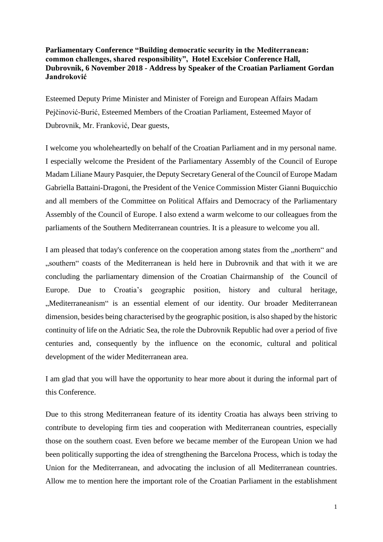## **Parliamentary Conference "Building democratic security in the Mediterranean: common challenges, shared responsibility", Hotel Excelsior Conference Hall, Dubrovnik, 6 November 2018 - Address by Speaker of the Croatian Parliament Gordan Jandroković**

Esteemed Deputy Prime Minister and Minister of Foreign and European Affairs Madam Pejčinović-Burić, Esteemed Members of the Croatian Parliament, Esteemed Mayor of Dubrovnik, Mr. Franković, Dear guests,

I welcome you wholeheartedly on behalf of the Croatian Parliament and in my personal name. I especially welcome the President of the Parliamentary Assembly of the Council of Europe Madam Liliane Maury Pasquier, the Deputy Secretary General of the Council of Europe Madam Gabriella Battaini-Dragoni, the President of the Venice Commission Mister Gianni Buquicchio and all members of the Committee on Political Affairs and Democracy of the Parliamentary Assembly of the Council of Europe. I also extend a warm welcome to our colleagues from the parliaments of the Southern Mediterranean countries. It is a pleasure to welcome you all.

I am pleased that today's conference on the cooperation among states from the "northern" and "southern" coasts of the Mediterranean is held here in Dubrovnik and that with it we are concluding the parliamentary dimension of the Croatian Chairmanship of the Council of Europe. Due to Croatia's geographic position, history and cultural heritage, "Mediterraneanism" is an essential element of our identity. Our broader Mediterranean dimension, besides being characterised by the geographic position, is also shaped by the historic continuity of life on the Adriatic Sea, the role the Dubrovnik Republic had over a period of five centuries and, consequently by the influence on the economic, cultural and political development of the wider Mediterranean area.

I am glad that you will have the opportunity to hear more about it during the informal part of this Conference.

Due to this strong Mediterranean feature of its identity Croatia has always been striving to contribute to developing firm ties and cooperation with Mediterranean countries, especially those on the southern coast. Even before we became member of the European Union we had been politically supporting the idea of strengthening the Barcelona Process, which is today the Union for the Mediterranean, and advocating the inclusion of all Mediterranean countries. Allow me to mention here the important role of the Croatian Parliament in the establishment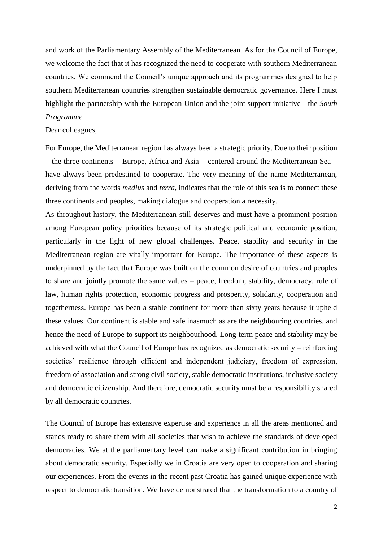and work of the Parliamentary Assembly of the Mediterranean. As for the Council of Europe, we welcome the fact that it has recognized the need to cooperate with southern Mediterranean countries. We commend the Council's unique approach and its programmes designed to help southern Mediterranean countries strengthen sustainable democratic governance. Here I must highlight the partnership with the European Union and the joint support initiative - the *South Programme.*

## Dear colleagues,

For Europe, the Mediterranean region has always been a strategic priority. Due to their position – the three continents – Europe, Africa and Asia – centered around the Mediterranean Sea – have always been predestined to cooperate. The very meaning of the name Mediterranean, deriving from the words *medius* and *terra*, indicates that the role of this sea is to connect these three continents and peoples, making dialogue and cooperation a necessity.

As throughout history, the Mediterranean still deserves and must have a prominent position among European policy priorities because of its strategic political and economic position, particularly in the light of new global challenges. Peace, stability and security in the Mediterranean region are vitally important for Europe. The importance of these aspects is underpinned by the fact that Europe was built on the common desire of countries and peoples to share and jointly promote the same values – peace, freedom, stability, democracy, rule of law, human rights protection, economic progress and prosperity, solidarity, cooperation and togetherness. Europe has been a stable continent for more than sixty years because it upheld these values. Our continent is stable and safe inasmuch as are the neighbouring countries, and hence the need of Europe to support its neighbourhood. Long-term peace and stability may be achieved with what the Council of Europe has recognized as democratic security – reinforcing societies' resilience through efficient and independent judiciary, freedom of expression, freedom of association and strong civil society, stable democratic institutions, inclusive society and democratic citizenship. And therefore, democratic security must be a responsibility shared by all democratic countries.

The Council of Europe has extensive expertise and experience in all the areas mentioned and stands ready to share them with all societies that wish to achieve the standards of developed democracies. We at the parliamentary level can make a significant contribution in bringing about democratic security. Especially we in Croatia are very open to cooperation and sharing our experiences. From the events in the recent past Croatia has gained unique experience with respect to democratic transition. We have demonstrated that the transformation to a country of